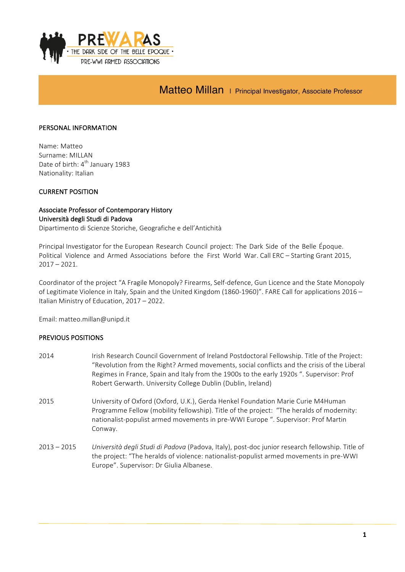

Matteo Millan | Principal Investigator, Associate Professor

#### PERSONAL INFORMATION

Name: Matteo Surname: MILLAN Date of birth: 4<sup>th</sup> January 1983 Nationality: Italian

### **CURRENT POSITION**

# Associate Professor of Contemporary History Università degli Studi di Padova

Dipartimento di Scienze Storiche, Geografiche e dell'Antichità

Principal Investigator for the European Research Council project: The Dark Side of the Belle Époque. Political Violence and Armed Associations before the First World War. Call ERC – Starting Grant 2015,  $2017 - 2021$ .

Coordinator of the project "A Fragile Monopoly? Firearms, Self-defence, Gun Licence and the State Monopoly of Legitimate Violence in Italy, Spain and the United Kingdom (1860-1960)". FARE Call for applications 2016 – Italian Ministry of Education, 2017 - 2022.

Email: matteo.millan@unipd.it

#### PREVIOUS POSITIONS

- 2014 Irish Research Council Government of Ireland Postdoctoral Fellowship. Title of the Project: "Revolution from the Right? Armed movements, social conflicts and the crisis of the Liberal Regimes in France, Spain and Italy from the 1900s to the early 1920s ". Supervisor: Prof Robert Gerwarth. University College Dublin (Dublin, Ireland)
- 2015 University of Oxford (Oxford, U.K.), Gerda Henkel Foundation Marie Curie M4Human Programme Fellow (mobility fellowship). Title of the project: "The heralds of modernity: nationalist-populist armed movements in pre-WWI Europe ". Supervisor: Prof Martin Conway.
- 2013 2015 Università degli Studi di Padova (Padova, Italy), post-doc junior research fellowship. Title of the project: "The heralds of violence: nationalist-populist armed movements in pre-WWI Europe". Supervisor: Dr Giulia Albanese.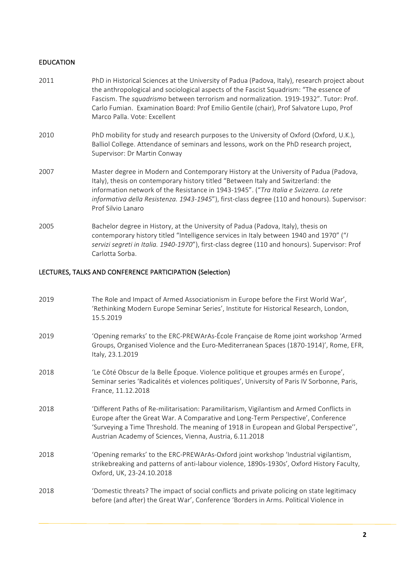### EDUCATION

| 2011 | PhD in Historical Sciences at the University of Padua (Padova, Italy), research project about<br>the anthropological and sociological aspects of the Fascist Squadrism: "The essence of<br>Fascism. The squadrismo between terrorism and normalization. 1919-1932". Tutor: Prof.<br>Carlo Fumian. Examination Board: Prof Emilio Gentile (chair), Prof Salvatore Lupo, Prof<br>Marco Palla. Vote: Excellent |
|------|-------------------------------------------------------------------------------------------------------------------------------------------------------------------------------------------------------------------------------------------------------------------------------------------------------------------------------------------------------------------------------------------------------------|
| 2010 | PhD mobility for study and research purposes to the University of Oxford (Oxford, U.K.),<br>Balliol College. Attendance of seminars and lessons, work on the PhD research project,<br>Supervisor: Dr Martin Conway                                                                                                                                                                                          |
| 2007 | Master degree in Modern and Contemporary History at the University of Padua (Padova,<br>Italy), thesis on contemporary history titled "Between Italy and Switzerland: the<br>information network of the Resistance in 1943-1945". ("Tra Italia e Svizzera. La rete<br>informativa della Resistenza. 1943-1945"), first-class degree (110 and honours). Supervisor:<br>Prof Silvio Lanaro                    |
| 2005 | Bachelor degree in History, at the University of Padua (Padova, Italy), thesis on<br>contemporary history titled "Intelligence services in Italy between 1940 and 1970" ("I<br>servizi segreti in Italia. 1940-1970"), first-class degree (110 and honours). Supervisor: Prof<br>Carlotta Sorba.                                                                                                            |

# LECTURES, TALKS AND CONFERENCE PARTICIPATION (Selection)

| 2019 | The Role and Impact of Armed Associationism in Europe before the First World War',<br>'Rethinking Modern Europe Seminar Series', Institute for Historical Research, London,<br>15.5.2019                                                                                                                                           |
|------|------------------------------------------------------------------------------------------------------------------------------------------------------------------------------------------------------------------------------------------------------------------------------------------------------------------------------------|
| 2019 | 'Opening remarks' to the ERC-PREWArAs-École Française de Rome joint workshop 'Armed<br>Groups, Organised Violence and the Euro-Mediterranean Spaces (1870-1914)', Rome, EFR,<br>Italy, 23.1.2019                                                                                                                                   |
| 2018 | 'Le Côté Obscur de la Belle Époque. Violence politique et groupes armés en Europe',<br>Seminar series 'Radicalités et violences politiques', University of Paris IV Sorbonne, Paris,<br>France, 11.12.2018                                                                                                                         |
| 2018 | 'Different Paths of Re-militarisation: Paramilitarism, Vigilantism and Armed Conflicts in<br>Europe after the Great War. A Comparative and Long-Term Perspective', Conference<br>'Surveying a Time Threshold. The meaning of 1918 in European and Global Perspective",<br>Austrian Academy of Sciences, Vienna, Austria, 6.11.2018 |
| 2018 | 'Opening remarks' to the ERC-PREWArAs-Oxford joint workshop 'Industrial vigilantism,<br>strikebreaking and patterns of anti-labour violence, 1890s-1930s', Oxford History Faculty,<br>Oxford, UK, 23-24.10.2018                                                                                                                    |
| 2018 | 'Domestic threats? The impact of social conflicts and private policing on state legitimacy<br>before (and after) the Great War', Conference 'Borders in Arms. Political Violence in                                                                                                                                                |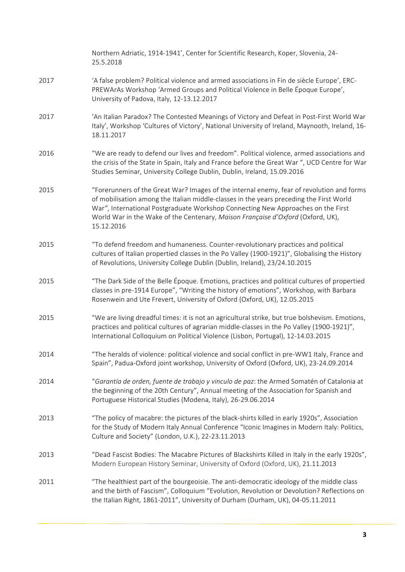|      | Northern Adriatic, 1914-1941', Center for Scientific Research, Koper, Slovenia, 24-<br>25.5.2018                                                                                                                                                                                                                                                                          |
|------|---------------------------------------------------------------------------------------------------------------------------------------------------------------------------------------------------------------------------------------------------------------------------------------------------------------------------------------------------------------------------|
| 2017 | 'A false problem? Political violence and armed associations in Fin de siècle Europe', ERC-<br>PREWArAs Workshop 'Armed Groups and Political Violence in Belle Époque Europe',<br>University of Padova, Italy, 12-13.12.2017                                                                                                                                               |
| 2017 | 'An Italian Paradox? The Contested Meanings of Victory and Defeat in Post-First World War<br>Italy', Workshop 'Cultures of Victory', National University of Ireland, Maynooth, Ireland, 16-<br>18.11.2017                                                                                                                                                                 |
| 2016 | "We are ready to defend our lives and freedom". Political violence, armed associations and<br>the crisis of the State in Spain, Italy and France before the Great War ", UCD Centre for War<br>Studies Seminar, University College Dublin, Dublin, Ireland, 15.09.2016                                                                                                    |
| 2015 | "Forerunners of the Great War? Images of the internal enemy, fear of revolution and forms<br>of mobilisation among the Italian middle-classes in the years preceding the First World<br>War", International Postgraduate Workshop Connecting New Approaches on the First<br>World War in the Wake of the Centenary, Maison Française d'Oxford (Oxford, UK),<br>15.12.2016 |
| 2015 | "To defend freedom and humaneness. Counter-revolutionary practices and political<br>cultures of Italian propertied classes in the Po Valley (1900-1921)", Globalising the History<br>of Revolutions, University College Dublin (Dublin, Ireland), 23/24.10.2015                                                                                                           |
| 2015 | "The Dark Side of the Belle Époque. Emotions, practices and political cultures of propertied<br>classes in pre-1914 Europe", "Writing the history of emotions", Workshop, with Barbara<br>Rosenwein and Ute Frevert, University of Oxford (Oxford, UK), 12.05.2015                                                                                                        |
| 2015 | "We are living dreadful times: it is not an agricultural strike, but true bolshevism. Emotions,<br>practices and political cultures of agrarian middle-classes in the Po Valley (1900-1921)",<br>International Colloquium on Political Violence (Lisbon, Portugal), 12-14.03.2015                                                                                         |
| 2014 | "The heralds of violence: political violence and social conflict in pre-WW1 Italy, France and<br>Spain", Padua-Oxford joint workshop, University of Oxford (Oxford, UK), 23-24.09.2014                                                                                                                                                                                    |
| 2014 | "Garantía de orden, fuente de trabajo y vinculo de paz: the Armed Somatén of Catalonia at<br>the beginning of the 20th Century", Annual meeting of the Association for Spanish and<br>Portuguese Historical Studies (Modena, Italy), 26-29.06.2014                                                                                                                        |
| 2013 | "The policy of macabre: the pictures of the black-shirts killed in early 1920s", Association<br>for the Study of Modern Italy Annual Conference "Iconic Imagines in Modern Italy: Politics,<br>Culture and Society" (London, U.K.), 22-23.11.2013                                                                                                                         |
| 2013 | "Dead Fascist Bodies: The Macabre Pictures of Blackshirts Killed in Italy in the early 1920s",<br>Modern European History Seminar, University of Oxford (Oxford, UK), 21.11.2013                                                                                                                                                                                          |
| 2011 | "The healthiest part of the bourgeoisie. The anti-democratic ideology of the middle class<br>and the birth of Fascism", Colloquium "Evolution, Revolution or Devolution? Reflections on<br>the Italian Right, 1861-2011", University of Durham (Durham, UK), 04-05.11.2011                                                                                                |